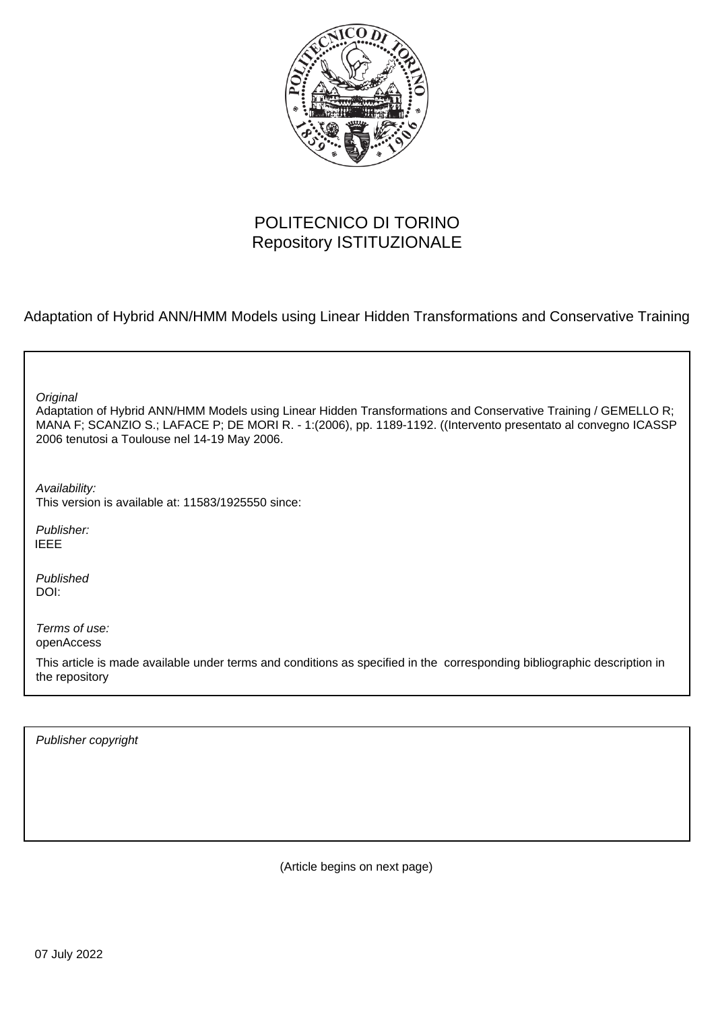

# POLITECNICO DI TORINO Repository ISTITUZIONALE

Adaptation of Hybrid ANN/HMM Models using Linear Hidden Transformations and Conservative Training

**Original** 

Adaptation of Hybrid ANN/HMM Models using Linear Hidden Transformations and Conservative Training / GEMELLO R; MANA F; SCANZIO S.; LAFACE P; DE MORI R. - 1:(2006), pp. 1189-1192. ((Intervento presentato al convegno ICASSP 2006 tenutosi a Toulouse nel 14-19 May 2006.

Availability: This version is available at: 11583/1925550 since:

Publisher: IEEE

Published DOI:

Terms of use: openAccess

This article is made available under terms and conditions as specified in the corresponding bibliographic description in the repository

Publisher copyright

(Article begins on next page)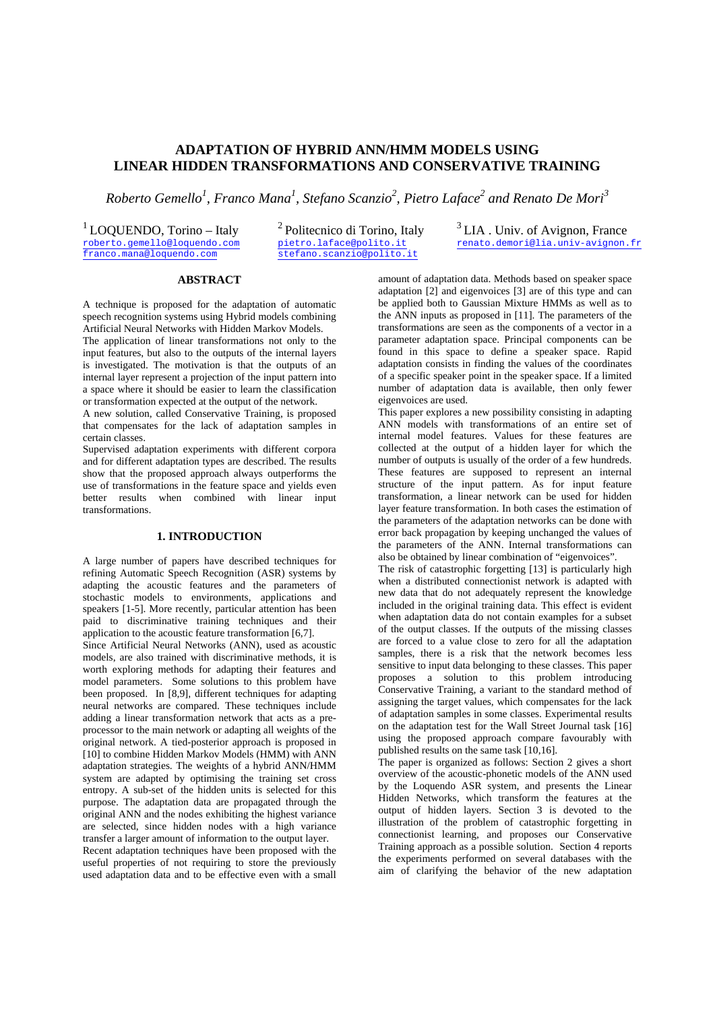# **ADAPTATION OF HYBRID ANN/HMM MODELS USING LINEAR HIDDEN TRANSFORMATIONS AND CONSERVATIVE TRAINING**

*Roberto Gemello<sup>1</sup> , Franco Mana<sup>1</sup> , Stefano Scanzio2 , Pietro Laface2 and Renato De Mori<sup>3</sup>*

<sup>1</sup> LOQUENDO, Torino – Italy roberto.gemello@loquendo.com franco.mana@loquendo.com

<sup>2</sup> Politecnico di Torino, Italy pietro.laface@polito.it stefano.scanzio@polito.it

 $3$  LIA . Univ. of Avignon, France renato.demori@lia.univ-avignon.fr

## **ABSTRACT**

A technique is proposed for the adaptation of automatic speech recognition systems using Hybrid models combining Artificial Neural Networks with Hidden Markov Models.

The application of linear transformations not only to the input features, but also to the outputs of the internal layers is investigated. The motivation is that the outputs of an internal layer represent a projection of the input pattern into a space where it should be easier to learn the classification or transformation expected at the output of the network.

A new solution, called Conservative Training, is proposed that compensates for the lack of adaptation samples in certain classes.

Supervised adaptation experiments with different corpora and for different adaptation types are described. The results show that the proposed approach always outperforms the use of transformations in the feature space and yields even better results when combined with linear input transformations.

# **1. INTRODUCTION**

A large number of papers have described techniques for refining Automatic Speech Recognition (ASR) systems by adapting the acoustic features and the parameters of stochastic models to environments, applications and speakers [1-5]. More recently, particular attention has been paid to discriminative training techniques and their application to the acoustic feature transformation [6,7].

Since Artificial Neural Networks (ANN), used as acoustic models, are also trained with discriminative methods, it is worth exploring methods for adapting their features and model parameters. Some solutions to this problem have been proposed. In [8,9], different techniques for adapting neural networks are compared. These techniques include adding a linear transformation network that acts as a preprocessor to the main network or adapting all weights of the original network. A tied-posterior approach is proposed in [10] to combine Hidden Markov Models (HMM) with ANN adaptation strategies. The weights of a hybrid ANN/HMM system are adapted by optimising the training set cross entropy. A sub-set of the hidden units is selected for this purpose. The adaptation data are propagated through the original ANN and the nodes exhibiting the highest variance are selected, since hidden nodes with a high variance transfer a larger amount of information to the output layer.

Recent adaptation techniques have been proposed with the useful properties of not requiring to store the previously used adaptation data and to be effective even with a small

amount of adaptation data. Methods based on speaker space adaptation [2] and eigenvoices [3] are of this type and can be applied both to Gaussian Mixture HMMs as well as to the ANN inputs as proposed in [11]. The parameters of the transformations are seen as the components of a vector in a parameter adaptation space. Principal components can be found in this space to define a speaker space. Rapid adaptation consists in finding the values of the coordinates of a specific speaker point in the speaker space. If a limited number of adaptation data is available, then only fewer eigenvoices are used.

This paper explores a new possibility consisting in adapting ANN models with transformations of an entire set of internal model features. Values for these features are collected at the output of a hidden layer for which the number of outputs is usually of the order of a few hundreds. These features are supposed to represent an internal structure of the input pattern. As for input feature transformation, a linear network can be used for hidden layer feature transformation. In both cases the estimation of the parameters of the adaptation networks can be done with error back propagation by keeping unchanged the values of the parameters of the ANN. Internal transformations can also be obtained by linear combination of "eigenvoices".

The risk of catastrophic forgetting [13] is particularly high when a distributed connectionist network is adapted with new data that do not adequately represent the knowledge included in the original training data. This effect is evident when adaptation data do not contain examples for a subset of the output classes. If the outputs of the missing classes are forced to a value close to zero for all the adaptation samples, there is a risk that the network becomes less sensitive to input data belonging to these classes. This paper proposes a solution to this problem introducing Conservative Training, a variant to the standard method of assigning the target values, which compensates for the lack of adaptation samples in some classes. Experimental results on the adaptation test for the Wall Street Journal task [16] using the proposed approach compare favourably with published results on the same task [10,16].

The paper is organized as follows: Section 2 gives a short overview of the acoustic-phonetic models of the ANN used by the Loquendo ASR system, and presents the Linear Hidden Networks, which transform the features at the output of hidden layers. Section 3 is devoted to the illustration of the problem of catastrophic forgetting in connectionist learning, and proposes our Conservative Training approach as a possible solution. Section 4 reports the experiments performed on several databases with the aim of clarifying the behavior of the new adaptation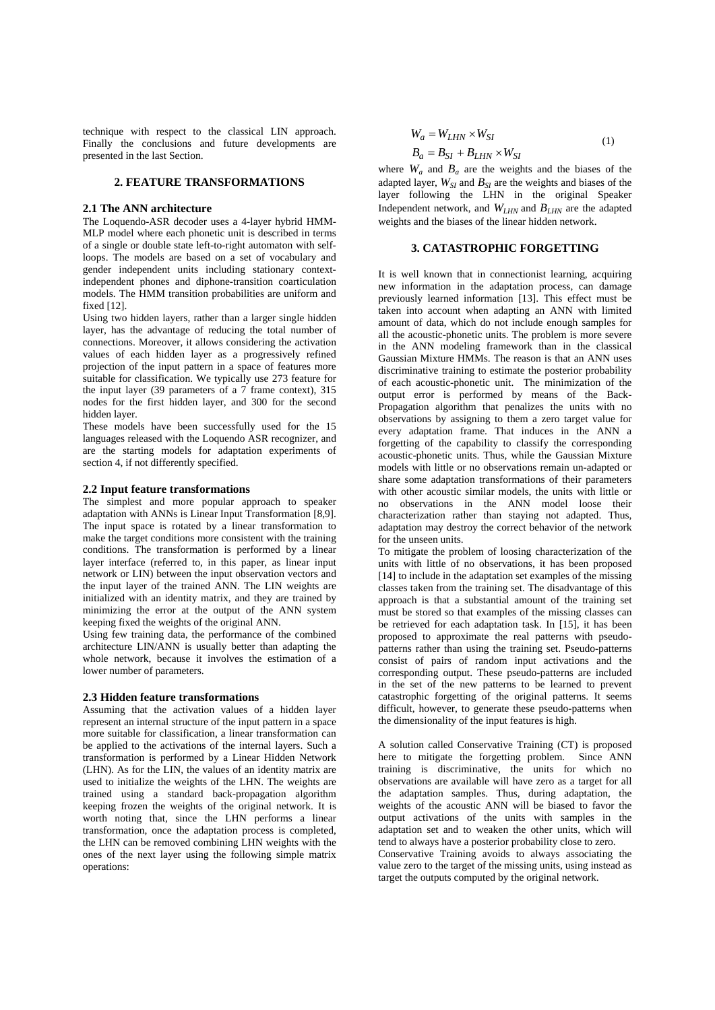technique with respect to the classical LIN approach. Finally the conclusions and future developments are presented in the last Section.

# **2. FEATURE TRANSFORMATIONS**

#### **2.1 The ANN architecture**

The Loquendo-ASR decoder uses a 4-layer hybrid HMM-MLP model where each phonetic unit is described in terms of a single or double state left-to-right automaton with selfloops. The models are based on a set of vocabulary and gender independent units including stationary contextindependent phones and diphone-transition coarticulation models. The HMM transition probabilities are uniform and fixed [12].

Using two hidden layers, rather than a larger single hidden layer, has the advantage of reducing the total number of connections. Moreover, it allows considering the activation values of each hidden layer as a progressively refined projection of the input pattern in a space of features more suitable for classification. We typically use 273 feature for the input layer (39 parameters of a 7 frame context), 315 nodes for the first hidden layer, and 300 for the second hidden layer.

These models have been successfully used for the 15 languages released with the Loquendo ASR recognizer, and are the starting models for adaptation experiments of section 4, if not differently specified.

### **2.2 Input feature transformations**

The simplest and more popular approach to speaker adaptation with ANNs is Linear Input Transformation [8,9]. The input space is rotated by a linear transformation to make the target conditions more consistent with the training conditions. The transformation is performed by a linear layer interface (referred to, in this paper, as linear input network or LIN) between the input observation vectors and the input layer of the trained ANN. The LIN weights are initialized with an identity matrix, and they are trained by minimizing the error at the output of the ANN system keeping fixed the weights of the original ANN.

Using few training data, the performance of the combined architecture LIN/ANN is usually better than adapting the whole network, because it involves the estimation of a lower number of parameters.

#### **2.3 Hidden feature transformations**

Assuming that the activation values of a hidden layer represent an internal structure of the input pattern in a space more suitable for classification, a linear transformation can be applied to the activations of the internal layers. Such a transformation is performed by a Linear Hidden Network (LHN). As for the LIN, the values of an identity matrix are used to initialize the weights of the LHN. The weights are trained using a standard back-propagation algorithm keeping frozen the weights of the original network. It is worth noting that, since the LHN performs a linear transformation, once the adaptation process is completed, the LHN can be removed combining LHN weights with the ones of the next layer using the following simple matrix operations:

$$
W_a = W_{LHN} \times W_{SI}
$$
  
\n
$$
B_a = B_{SI} + B_{LHN} \times W_{SI}
$$
 (1)

where  $W_a$  and  $B_a$  are the weights and the biases of the adapted layer,  $W_{SI}$  and  $B_{SI}$  are the weights and biases of the layer following the LHN in the original Speaker Independent network, and  $W_{IHN}$  and  $B_{IHN}$  are the adapted weights and the biases of the linear hidden network.

# **3. CATASTROPHIC FORGETTING**

It is well known that in connectionist learning, acquiring new information in the adaptation process, can damage previously learned information [13]. This effect must be taken into account when adapting an ANN with limited amount of data, which do not include enough samples for all the acoustic-phonetic units. The problem is more severe in the ANN modeling framework than in the classical Gaussian Mixture HMMs. The reason is that an ANN uses discriminative training to estimate the posterior probability of each acoustic-phonetic unit. The minimization of the output error is performed by means of the Back-Propagation algorithm that penalizes the units with no observations by assigning to them a zero target value for every adaptation frame. That induces in the ANN a forgetting of the capability to classify the corresponding acoustic-phonetic units. Thus, while the Gaussian Mixture models with little or no observations remain un-adapted or share some adaptation transformations of their parameters with other acoustic similar models, the units with little or no observations in the ANN model loose their characterization rather than staying not adapted. Thus, adaptation may destroy the correct behavior of the network for the unseen units.

To mitigate the problem of loosing characterization of the units with little of no observations, it has been proposed [14] to include in the adaptation set examples of the missing classes taken from the training set. The disadvantage of this approach is that a substantial amount of the training set must be stored so that examples of the missing classes can be retrieved for each adaptation task. In [15], it has been proposed to approximate the real patterns with pseudopatterns rather than using the training set. Pseudo-patterns consist of pairs of random input activations and the corresponding output. These pseudo-patterns are included in the set of the new patterns to be learned to prevent catastrophic forgetting of the original patterns. It seems difficult, however, to generate these pseudo-patterns when the dimensionality of the input features is high.

A solution called Conservative Training (CT) is proposed here to mitigate the forgetting problem. Since ANN training is discriminative, the units for which no observations are available will have zero as a target for all the adaptation samples. Thus, during adaptation, the weights of the acoustic ANN will be biased to favor the output activations of the units with samples in the adaptation set and to weaken the other units, which will tend to always have a posterior probability close to zero. Conservative Training avoids to always associating the value zero to the target of the missing units, using instead as target the outputs computed by the original network.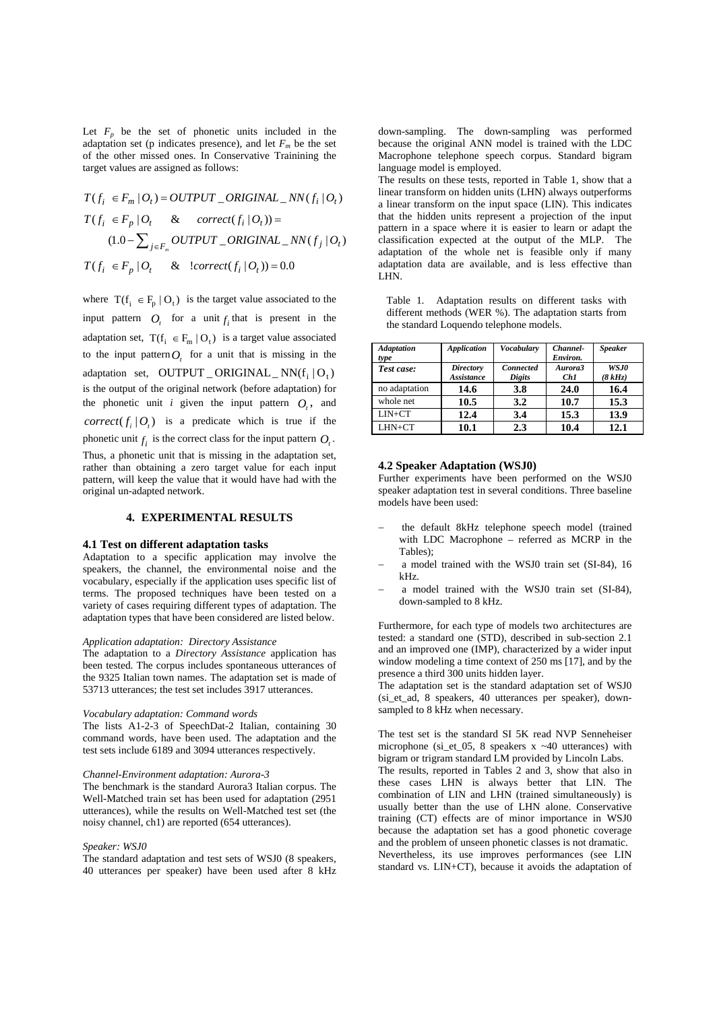Let  $F_p$  be the set of phonetic units included in the adaptation set (p indicates presence), and let  $F_m$  be the set of the other missed ones. In Conservative Trainining the target values are assigned as follows:

$$
T(f_i \in F_m | O_t) = OUTPUT \_ ORIGINAL \_NN(f_i | O_t)
$$
  
\n
$$
T(f_i \in F_p | O_t \& correct(f_i | O_t)) =
$$
  
\n
$$
(1.0 - \sum_{j \in F_m} OUTPUT \_ ORIGINAL \_ NN(f_j | O_t))
$$
  
\n
$$
T(f_i \in F_p | O_t \& correct(f_i | O_t)) = 0.0
$$

where  $T(f_i \in F_n | O_t)$  is the target value associated to the input pattern  $O_t$  for a unit  $f_i$  that is present in the adaptation set,  $T(f_i \in F_m | O_t)$  is a target value associated to the input pattern  $O<sub>t</sub>$  for a unit that is missing in the adaptation set,  $OUTPUT$   $ORIGINAL$   $NN(f_i | O_t)$ is the output of the original network (before adaptation) for the phonetic unit  $i$  given the input pattern  $Q_i$ , and  $correct(f_i | O_i)$  is a predicate which is true if the phonetic unit  $f_i$  is the correct class for the input pattern  $Q_i$ . Thus, a phonetic unit that is missing in the adaptation set,

rather than obtaining a zero target value for each input pattern, will keep the value that it would have had with the original un-adapted network.

## **4. EXPERIMENTAL RESULTS**

### **4.1 Test on different adaptation tasks**

Adaptation to a specific application may involve the speakers, the channel, the environmental noise and the vocabulary, especially if the application uses specific list of terms. The proposed techniques have been tested on a variety of cases requiring different types of adaptation. The adaptation types that have been considered are listed below.

#### *Application adaptation: Directory Assistance*

The adaptation to a *Directory Assistance* application has been tested. The corpus includes spontaneous utterances of the 9325 Italian town names. The adaptation set is made of 53713 utterances; the test set includes 3917 utterances.

### *Vocabulary adaptation: Command words*

The lists A1-2-3 of SpeechDat-2 Italian, containing 30 command words, have been used. The adaptation and the test sets include 6189 and 3094 utterances respectively.

#### *Channel-Environment adaptation: Aurora-3*

The benchmark is the standard Aurora3 Italian corpus. The Well-Matched train set has been used for adaptation (2951 utterances), while the results on Well-Matched test set (the noisy channel, ch1) are reported (654 utterances).

#### *Speaker: WSJ0*

The standard adaptation and test sets of WSJ0 (8 speakers, 40 utterances per speaker) have been used after 8 kHz down-sampling. The down-sampling was performed because the original ANN model is trained with the LDC Macrophone telephone speech corpus. Standard bigram language model is employed.

The results on these tests, reported in Table 1, show that a linear transform on hidden units (LHN) always outperforms a linear transform on the input space (LIN). This indicates that the hidden units represent a projection of the input pattern in a space where it is easier to learn or adapt the classification expected at the output of the MLP. The adaptation of the whole net is feasible only if many adaptation data are available, and is less effective than LHN.

Table 1. Adaptation results on different tasks with different methods (WER %). The adaptation starts from the standard Loquendo telephone models.

| <b>Adaptation</b><br>type | <b>Application</b>                    | Vocabulary                        | Channel-<br>Environ. | <b>Speaker</b>  |
|---------------------------|---------------------------------------|-----------------------------------|----------------------|-----------------|
| Test case:                | <b>Directory</b><br><b>Assistance</b> | <b>Connected</b><br><b>Digits</b> | Aurora3<br>Ch1       | WSJ0<br>(8 kHz) |
| no adaptation             | 14.6                                  | 3.8                               | 24.0                 | 16.4            |
| whole net                 | 10.5                                  | 3.2                               | 10.7                 | 15.3            |
| $LIN+CT$                  | 12.4                                  | 3.4                               | 15.3                 | 13.9            |
| $LHN+CT$                  | 10.1                                  | 2.3                               | 10.4                 | 12.1            |

#### **4.2 Speaker Adaptation (WSJ0)**

Further experiments have been performed on the WSJ0 speaker adaptation test in several conditions. Three baseline models have been used:

- the default 8kHz telephone speech model (trained with LDC Macrophone – referred as MCRP in the Tables);
- a model trained with the WSJ0 train set (SI-84), 16 kHz.
- a model trained with the WSJ0 train set (SI-84), down-sampled to 8 kHz.

Furthermore, for each type of models two architectures are tested: a standard one (STD), described in sub-section 2.1 and an improved one (IMP), characterized by a wider input window modeling a time context of 250 ms [17], and by the presence a third 300 units hidden layer.

The adaptation set is the standard adaptation set of WSJ0 (si\_et\_ad, 8 speakers, 40 utterances per speaker), downsampled to 8 kHz when necessary.

The test set is the standard SI 5K read NVP Senneheiser microphone (si\_et\_05, 8 speakers  $x \sim 40$  utterances) with bigram or trigram standard LM provided by Lincoln Labs. The results, reported in Tables 2 and 3, show that also in these cases LHN is always better that LIN. The combination of LIN and LHN (trained simultaneously) is usually better than the use of LHN alone. Conservative training (CT) effects are of minor importance in WSJ0 because the adaptation set has a good phonetic coverage and the problem of unseen phonetic classes is not dramatic. Nevertheless, its use improves performances (see LIN

standard vs. LIN+CT), because it avoids the adaptation of